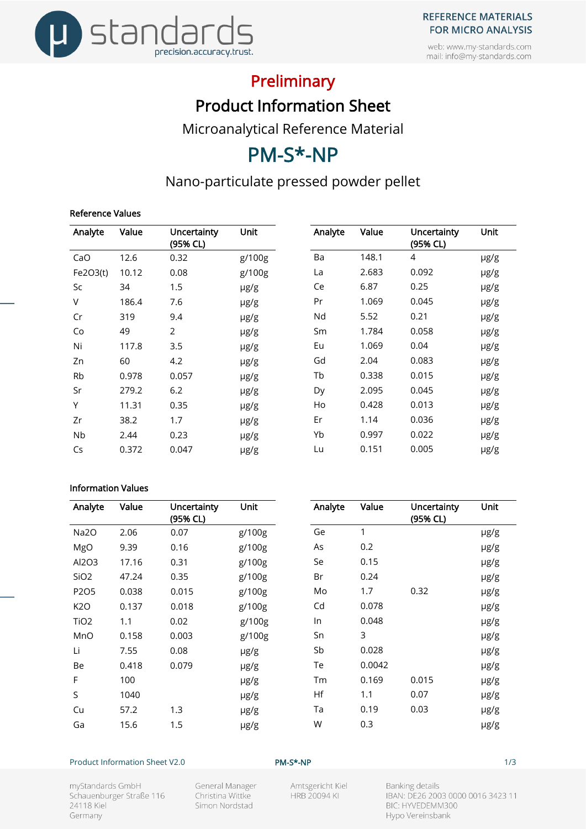

web: www.my-standards.com mail: info@my-standards.com



# Preliminary

Product Information Sheet

Microanalytical Reference Material

# PM-S\*-NP

# Nano-particulate pressed powder pellet

# Reference Values

| Analyte  | Value | <b>Uncertainty</b><br>(95% CL) | Unit      | Analyte | Value | Uncertainty<br>(95% CL) | Unit      |
|----------|-------|--------------------------------|-----------|---------|-------|-------------------------|-----------|
| CaO      | 12.6  | 0.32                           | g/100g    | Ba      | 148.1 | 4                       | µg/g      |
| Fe2O3(t) | 10.12 | 0.08                           | g/100g    | La      | 2.683 | 0.092                   | µg/g      |
| Sc       | 34    | 1.5                            | µg/g      | Ce      | 6.87  | 0.25                    | $\mu$ g/g |
| V        | 186.4 | 7.6                            | µg/g      | Pr      | 1.069 | 0.045                   | µg/g      |
| Cr       | 319   | 9.4                            | µg/g      | Nd      | 5.52  | 0.21                    | µg/g      |
| Co       | 49    | $\overline{2}$                 | µg/g      | Sm      | 1.784 | 0.058                   | $\mu$ g/g |
| Ni       | 117.8 | 3.5                            | µg/g      | Eu      | 1.069 | 0.04                    | µg/g      |
| Zn       | 60    | 4.2                            | $\mu$ g/g | Gd      | 2.04  | 0.083                   | µg/g      |
| Rb       | 0.978 | 0.057                          | µg/g      | Tb      | 0.338 | 0.015                   | $\mu$ g/g |
| Sr       | 279.2 | 6.2                            | µg/g      | Dy      | 2.095 | 0.045                   | $\mu$ g/g |
| Y        | 11.31 | 0.35                           | µg/g      | Ho      | 0.428 | 0.013                   | $\mu$ g/g |
| Zr       | 38.2  | 1.7                            | µg/g      | Er      | 1.14  | 0.036                   | µg/g      |
| Nb       | 2.44  | 0.23                           | µg/g      | Yb      | 0.997 | 0.022                   | $\mu$ g/g |
| Cs       | 0.372 | 0.047                          | µg/g      | Lu      | 0.151 | 0.005                   | $\mu$ g/g |

# Information Values

| Analyte          | Value | Uncertainty<br>(95% CL) | Unit      | Analyte | Value  | Uncertainty<br>(95% CL) | Unit      |
|------------------|-------|-------------------------|-----------|---------|--------|-------------------------|-----------|
| Na2O             | 2.06  | 0.07                    | g/100g    | Ge      | 1      |                         | µg/g      |
| MgO              | 9.39  | 0.16                    | g/100g    | As      | 0.2    |                         | $\mu$ g/g |
| Al2O3            | 17.16 | 0.31                    | g/100g    | Se      | 0.15   |                         | $\mu$ g/g |
| SiO <sub>2</sub> | 47.24 | 0.35                    | g/100g    | Br      | 0.24   |                         | $\mu$ g/g |
| P2O5             | 0.038 | 0.015                   | g/100g    | Mo      | 1.7    | 0.32                    | µg/g      |
| K <sub>2</sub> O | 0.137 | 0.018                   | g/100g    | Cd      | 0.078  |                         | µg/g      |
| TiO <sub>2</sub> | 1.1   | 0.02                    | g/100g    | In      | 0.048  |                         | $\mu$ g/g |
| MnO              | 0.158 | 0.003                   | g/100g    | Sn      | 3      |                         | $\mu$ g/g |
| Li               | 7.55  | 0.08                    | µg/g      | Sb      | 0.028  |                         | µg/g      |
| Be               | 0.418 | 0.079                   | µg/g      | Te      | 0.0042 |                         | µg/g      |
| F                | 100   |                         | $\mu$ g/g | Tm      | 0.169  | 0.015                   | $\mu$ g/g |
| S                | 1040  |                         | µg/g      | Hf      | 1.1    | 0.07                    | µg/g      |
| Cu               | 57.2  | 1.3                     | µg/g      | Ta      | 0.19   | 0.03                    | µg/g      |
| Ga               | 15.6  | 1.5                     | µg/g      | W       | 0.3    |                         | µg/g      |

Product Information Sheet V2.0 **PM-S\*-NP** Product Information Sheet V2.0 **PM-S\*-NP** 1/3

myStandards GmbH Schauenburger Straße 116 24118 Kiel Germany

General Manager Christina Wittke Simon Nordstad

Amtsgericht Kiel

**HRB 20094 KI** 

**Banking details** IBAN: DE26 2003 0000 0016 3423 11 BIC: HYVEDEMM300 Hypo Vereinsbank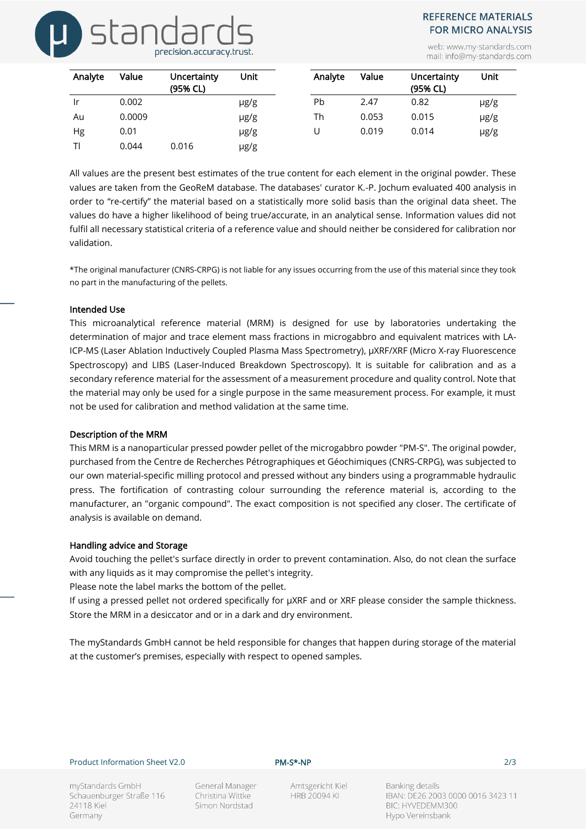# stand precision.accuracy.trust.

web: www.my-standards.com mail: info@my-standards.com

| Analyte | Value  | Uncertainty<br>(95% CL) | Unit | Analyte | Value | Uncertainty<br>(95% CL) | Unit      |
|---------|--------|-------------------------|------|---------|-------|-------------------------|-----------|
| ١r      | 0.002  |                         | µg/g | Pb      | 2.47  | 0.82                    | $\mu$ g/g |
| Au      | 0.0009 |                         | µg/g | Th      | 0.053 | 0.015                   | µg/g      |
| Hg      | 0.01   |                         | µg/g | U       | 0.019 | 0.014                   | µg/g      |
| Tl      | 0.044  | 0.016                   | µg/g |         |       |                         |           |

All values are the present best estimates of the true content for each element in the original powder. These values are taken from the GeoReM database. The databases' curator K.-P. Jochum evaluated 400 analysis in order to "re-certify" the material based on a statistically more solid basis than the original data sheet. The values do have a higher likelihood of being true/accurate, in an analytical sense. Information values did not fulfil all necessary statistical criteria of a reference value and should neither be considered for calibration nor validation.

\*The original manufacturer (CNRS-CRPG) is not liable for any issues occurring from the use of this material since they took no part in the manufacturing of the pellets.

# Intended Use

This microanalytical reference material (MRM) is designed for use by laboratories undertaking the determination of major and trace element mass fractions in microgabbro and equivalent matrices with LA-ICP-MS (Laser Ablation Inductively Coupled Plasma Mass Spectrometry), µXRF/XRF (Micro X-ray Fluorescence Spectroscopy) and LIBS (Laser-Induced Breakdown Spectroscopy). It is suitable for calibration and as a secondary reference material for the assessment of a measurement procedure and quality control. Note that the material may only be used for a single purpose in the same measurement process. For example, it must not be used for calibration and method validation at the same time.

## Description of the MRM

This MRM is a nanoparticular pressed powder pellet of the microgabbro powder "PM-S". The original powder, purchased from the Centre de Recherches Pétrographiques et Géochimiques (CNRS-CRPG), was subjected to our own material-specific milling protocol and pressed without any binders using a programmable hydraulic press. The fortification of contrasting colour surrounding the reference material is, according to the manufacturer, an "organic compound". The exact composition is not specified any closer. The certificate of analysis is available on demand.

## Handling advice and Storage

Avoid touching the pellet's surface directly in order to prevent contamination. Also, do not clean the surface with any liquids as it may compromise the pellet's integrity.

Please note the label marks the bottom of the pellet.

If using a pressed pellet not ordered specifically for µXRF and or XRF please consider the sample thickness. Store the MRM in a desiccator and or in a dark and dry environment.

The myStandards GmbH cannot be held responsible for changes that happen during storage of the material at the customer's premises, especially with respect to opened samples.

#### Product Information Sheet V2.0 **PM-S\*-NP** Product Information Sheet V2.0 **PM-S\*-NP** 2/3

myStandards GmbH Schauenburger Straße 116 24118 Kiel Germany

General Manager Christina Wittke Simon Nordstad

Amtsgericht Kiel **HRB 20094 KI** 

Banking details IBAN: DE26 2003 0000 0016 3423 11 BIC: HYVEDEMM300 Hypo Vereinsbank